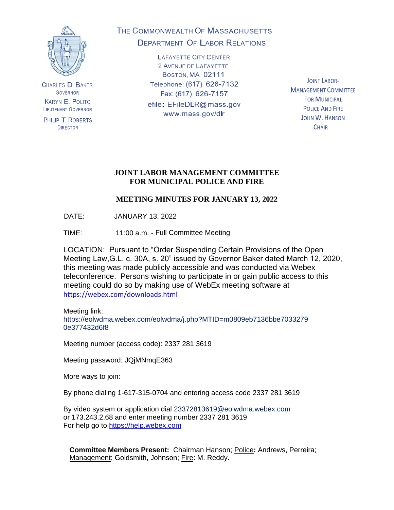

**CHARLES D. BAKER GOVERNOR KARYN E. POLITO LIEUTENANT GOVERNOR** 

PHILIP T. ROBERTS **DIRECTOR** 

# THE COMMONWEALTH OF MASSACHUSETTS **DEPARTMENT OF LABOR RELATIONS**

**LAFAYETTE CITY CENTER** 2 AVENUE DE LAFAYETTE BOSTON, MA 02111 Telephone: (617) 626-7132 Fax: (617) 626-7157 efile: EFileDLR@mass.gov www.mass.gov/dlr

**JOINT LABOR-MANAGEMENT COMMITTEE FOR MUNICIPAL POLICE AND FIRE JOHN W. HANSON CHAIR** 

### **JOINT LABOR MANAGEMENT COMMITTEE FOR MUNICIPAL POLICE AND FIRE**

## **MEETING MINUTES FOR JANUARY 13, 2022**

DATE: JANUARY 13, 2022

TIME: 11:00 a.m. - Full Committee Meeting

LOCATION: Pursuant to "Order Suspending Certain Provisions of the Open Meeting Law,G.L. c. 30A, s. 20" issued by Governor Baker dated March 12, 2020, this meeting was made publicly accessible and was conducted via Webex teleconference. Persons wishing to participate in or gain public access to this meeting could do so by making use of WebEx meeting software at <https://webex.com/downloads.html>

Meeting link: https://eolwdma.webex.com/eolwdma/j.php?MTID=m0809eb7136bbe7033279 0e377432d6f8

Meeting number (access code): 2337 281 3619

Meeting password: JQjMNmqE363

More ways to join:

By phone dialing 1-617-315-0704 and entering access code 2337 281 3619

By video system or application dial 23372813619@eolwdma.webex.com or 173.243.2.68 and enter meeting number 2337 281 3619 For help go to [https://help.webex.com](https://help.webex.com/)

**Committee Members Present:** Chairman Hanson; Police**:** Andrews, Perreira; Management: Goldsmith, Johnson; Fire: M. Reddy.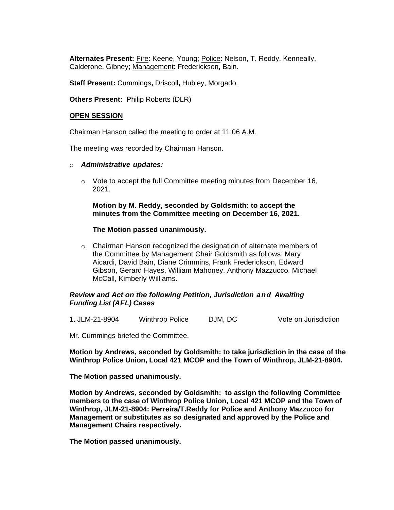**Alternates Present:** Fire: Keene, Young; Police: Nelson, T. Reddy, Kenneally, Calderone, Gibney; Management: Frederickson, Bain.

**Staff Present:** Cummings**,** Driscoll**,** Hubley, Morgado.

**Others Present:** Philip Roberts (DLR)

#### **OPEN SESSION**

Chairman Hanson called the meeting to order at 11:06 A.M.

The meeting was recorded by Chairman Hanson.

#### o *Administrative updates:*

o Vote to accept the full Committee meeting minutes from December 16, 2021.

#### **Motion by M. Reddy, seconded by Goldsmith: to accept the minutes from the Committee meeting on December 16, 2021.**

#### **The Motion passed unanimously.**

o Chairman Hanson recognized the designation of alternate members of the Committee by Management Chair Goldsmith as follows: Mary Aicardi, David Bain, Diane Crimmins, Frank Frederickson, Edward Gibson, Gerard Hayes, William Mahoney, Anthony Mazzucco, Michael McCall, Kimberly Williams.

#### *Review and Act on the following Petition, Jurisdiction and Awaiting Funding List (AFL) Cases*

1. JLM-21-8904 Winthrop Police DJM, DC Vote on Jurisdiction

Mr. Cummings briefed the Committee.

**Motion by Andrews, seconded by Goldsmith: to take jurisdiction in the case of the Winthrop Police Union, Local 421 MCOP and the Town of Winthrop, JLM-21-8904.**

**The Motion passed unanimously.**

**Motion by Andrews, seconded by Goldsmith: to assign the following Committee members to the case of Winthrop Police Union, Local 421 MCOP and the Town of Winthrop, JLM-21-8904: Perreira/T.Reddy for Police and Anthony Mazzucco for Management or substitutes as so designated and approved by the Police and Management Chairs respectively.**

**The Motion passed unanimously.**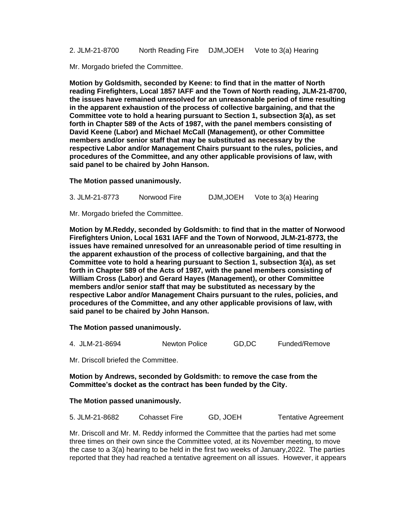2. JLM-21-8700 North Reading Fire DJM,JOEH Vote to 3(a) Hearing

Mr. Morgado briefed the Committee.

**Motion by Goldsmith, seconded by Keene: to find that in the matter of North reading Firefighters, Local 1857 IAFF and the Town of North reading, JLM-21-8700, the issues have remained unresolved for an unreasonable period of time resulting in the apparent exhaustion of the process of collective bargaining, and that the Committee vote to hold a hearing pursuant to Section 1, subsection 3(a), as set forth in Chapter 589 of the Acts of 1987, with the panel members consisting of David Keene (Labor) and Michael McCall (Management), or other Committee members and/or senior staff that may be substituted as necessary by the respective Labor and/or Management Chairs pursuant to the rules, policies, and procedures of the Committee, and any other applicable provisions of law, with said panel to be chaired by John Hanson.**

**The Motion passed unanimously.**

3. JLM-21-8773 Norwood Fire DJM,JOEH Vote to 3(a) Hearing

Mr. Morgado briefed the Committee.

**Motion by M.Reddy, seconded by Goldsmith: to find that in the matter of Norwood Firefighters Union, Local 1631 IAFF and the Town of Norwood, JLM-21-8773, the issues have remained unresolved for an unreasonable period of time resulting in the apparent exhaustion of the process of collective bargaining, and that the Committee vote to hold a hearing pursuant to Section 1, subsection 3(a), as set forth in Chapter 589 of the Acts of 1987, with the panel members consisting of William Cross (Labor) and Gerard Hayes (Management), or other Committee members and/or senior staff that may be substituted as necessary by the respective Labor and/or Management Chairs pursuant to the rules, policies, and procedures of the Committee, and any other applicable provisions of law, with said panel to be chaired by John Hanson.**

**The Motion passed unanimously.**

| 4. JLM-21-8694 | GD,DC         |
|----------------|---------------|
| Newton Police  | Funded/Remove |

Mr. Driscoll briefed the Committee.

**Motion by Andrews, seconded by Goldsmith: to remove the case from the Committee's docket as the contract has been funded by the City.**

**The Motion passed unanimously.**

| 5. JLM-21-8682 | Cohasset Fire | GD, JOEH | <b>Tentative Agreement</b> |
|----------------|---------------|----------|----------------------------|
|----------------|---------------|----------|----------------------------|

Mr. Driscoll and Mr. M. Reddy informed the Committee that the parties had met some three times on their own since the Committee voted, at its November meeting, to move the case to a 3(a) hearing to be held in the first two weeks of January,2022. The parties reported that they had reached a tentative agreement on all issues. However, it appears